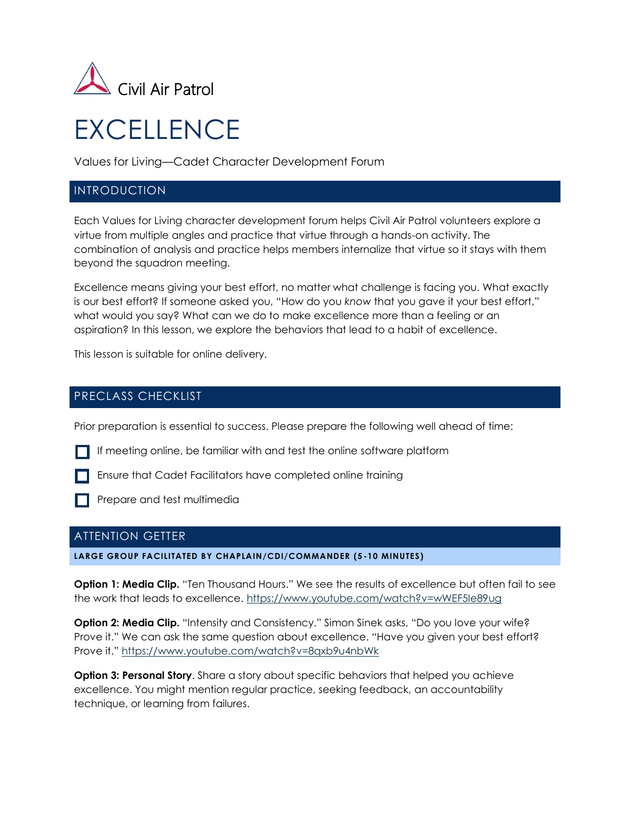

# **EXCELLENCE**

Values for Living—Cadet Character Development Forum

## INTRODUCTION

Each Values for Living character development forum helps Civil Air Patrol volunteers explore a virtue from multiple angles and practice that virtue through a hands-on activity. The combination of analysis and practice helps members internalize that virtue so it stays with them beyond the squadron meeting.

Excellence means giving your best effort, no matter what challenge is facing you. What exactly is our best effort? If someone asked you, "How do you *know* that you gave it your best effort," what would you say? What can we do to make excellence more than a feeling or an aspiration? In this lesson, we explore the behaviors that lead to a habit of excellence.

This lesson is suitable for online delivery.

## PRECLASS CHECKLIST

Prior preparation is essential to success. Please prepare the following well ahead of time:

If meeting online, be familiar with and test the online software platform

**Ensure that Cadet Facilitators have completed online training** 

**Prepare and test multimedia** 

## ATTENTION GETTER

**LARGE GROUP FACILITATED BY CHAPLAIN/CDI/COMMANDER (5 -10 MINUTES)**

**Option 1: Media Clip.** "Ten Thousand Hours." We see the results of excellence but often fail to see the work that leads to excellence.<https://www.youtube.com/watch?v=wWEF5Ie89ug>

**Option 2: Media Clip.** "Intensity and Consistency." Simon Sinek asks, "Do you love your wife? Prove it." We can ask the same question about excellence. "Have you given your best effort? Prove it." <https://www.youtube.com/watch?v=8qxb9u4nbWk>

**Option 3: Personal Story**. Share a story about specific behaviors that helped you achieve excellence. You might mention regular practice, seeking feedback, an accountability technique, or learning from failures.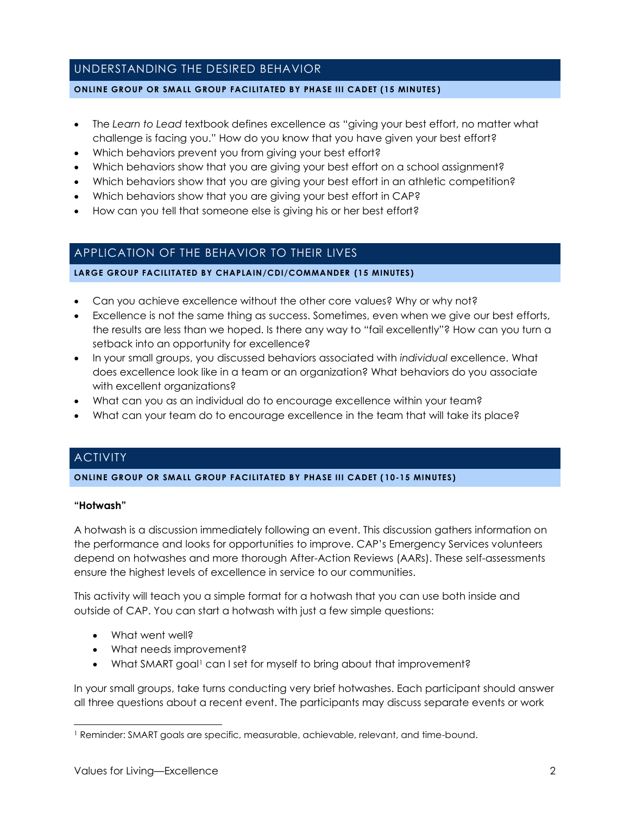# UNDERSTANDING THE DESIRED BEHAVIOR

#### **ONLINE GROUP OR SMALL GROUP FACILITATED BY PHASE III CADET (15 MINUTES )**

- The *Learn to Lead* textbook defines excellence as "giving your best effort, no matter what challenge is facing you." How do you know that you have given your best effort?
- Which behaviors prevent you from giving your best effort?
- Which behaviors show that you are giving your best effort on a school assignment?
- Which behaviors show that you are giving your best effort in an athletic competition?
- Which behaviors show that you are giving your best effort in CAP?
- How can you tell that someone else is giving his or her best effort?

# APPLICATION OF THE BEHAVIOR TO THEIR LIVES

**LARGE GROUP FACILITATED BY CHAPLAIN/CDI/COMMANDER (15 MINUTES)**

- Can you achieve excellence without the other core values? Why or why not?
- Excellence is not the same thing as success. Sometimes, even when we give our best efforts, the results are less than we hoped. Is there any way to "fail excellently"? How can you turn a setback into an opportunity for excellence?
- In your small groups, you discussed behaviors associated with *individual* excellence. What does excellence look like in a team or an organization? What behaviors do you associate with excellent organizations?
- What can you as an individual do to encourage excellence within your team?
- What can your team do to encourage excellence in the team that will take its place?

# **ACTIVITY**

**ONLINE GROUP OR SMALL GROUP FACILITATED BY PHASE III CADET ( 10-15 MINUTES)**

#### **"Hotwash"**

A hotwash is a discussion immediately following an event. This discussion gathers information on the performance and looks for opportunities to improve. CAP's Emergency Services volunteers depend on hotwashes and more thorough After-Action Reviews (AARs). These self-assessments ensure the highest levels of excellence in service to our communities.

This activity will teach you a simple format for a hotwash that you can use both inside and outside of CAP. You can start a hotwash with just a few simple questions:

- What went well?
- What needs improvement?
- What SMART goal<sup>1</sup> can I set for myself to bring about that improvement?

In your small groups, take turns conducting very brief hotwashes. Each participant should answer all three questions about a recent event. The participants may discuss separate events or work

<sup>1</sup> Reminder: SMART goals are specific, measurable, achievable, relevant, and time-bound.